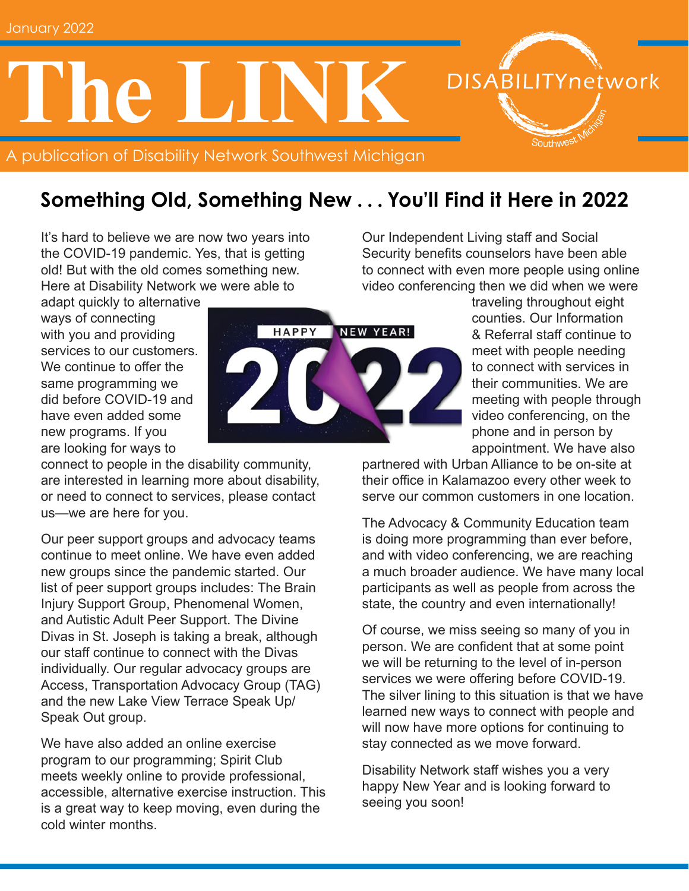# **ne**

A publication of Disability Network Southwest Michigan

### **Something Old, Something New . . . You'll Find it Here in 2022**

It's hard to believe we are now two years into the COVID-19 pandemic. Yes, that is getting old! But with the old comes something new. Here at Disability Network we were able to

adapt quickly to alternative ways of connecting with you and providing services to our customers. We continue to offer the same programming we did before COVID-19 and have even added some new programs. If you are looking for ways to

connect to people in the disability community, are interested in learning more about disability, or need to connect to services, please contact us—we are here for you.

Our peer support groups and advocacy teams continue to meet online. We have even added new groups since the pandemic started. Our list of peer support groups includes: The Brain Injury Support Group, Phenomenal Women, and Autistic Adult Peer Support. The Divine Divas in St. Joseph is taking a break, although our staff continue to connect with the Divas individually. Our regular advocacy groups are Access, Transportation Advocacy Group (TAG) and the new Lake View Terrace Speak Up/ Speak Out group.

We have also added an online exercise program to our programming; Spirit Club meets weekly online to provide professional, accessible, alternative exercise instruction. This is a great way to keep moving, even during the cold winter months.

Security benefits counselors have been able to connect with even more people using online video conferencing then we did when we were traveling throughout eight

Our Independent Living staff and Social

counties. Our Information & Referral staff continue to meet with people needing to connect with services in their communities. We are meeting with people through video conferencing, on the phone and in person by appointment. We have also

**DISABILITYnetwork** 

Southwes<sup>t</sup>

partnered with Urban Alliance to be on-site at their office in Kalamazoo every other week to serve our common customers in one location.

The Advocacy & Community Education team is doing more programming than ever before, and with video conferencing, we are reaching a much broader audience. We have many local participants as well as people from across the state, the country and even internationally!

Of course, we miss seeing so many of you in person. We are confident that at some point we will be returning to the level of in-person services we were offering before COVID-19. The silver lining to this situation is that we have learned new ways to connect with people and will now have more options for continuing to stay connected as we move forward.

Disability Network staff wishes you a very happy New Year and is looking forward to seeing you soon!

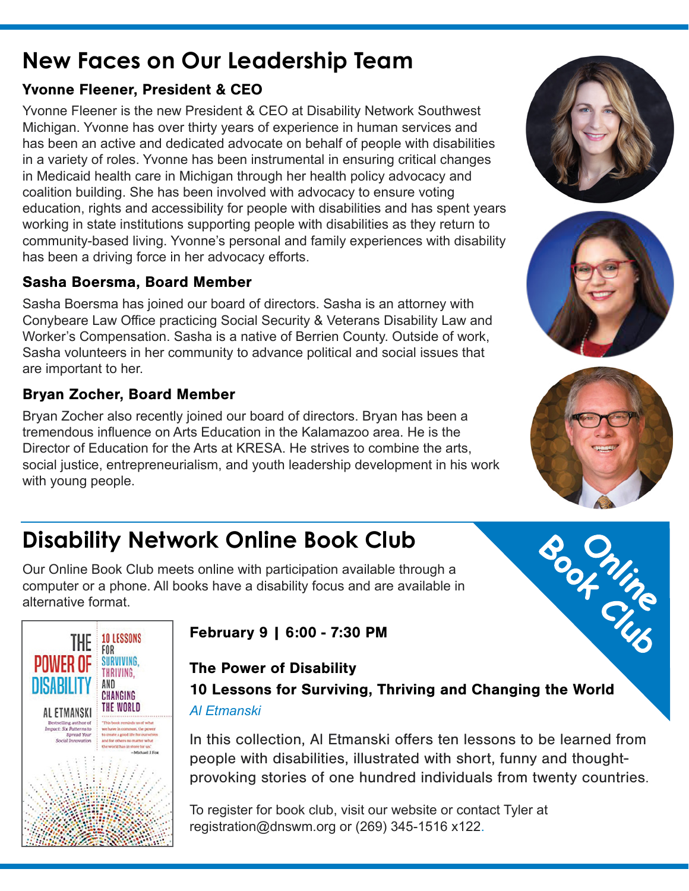# **New Faces on Our Leadership Team**

#### Yvonne Fleener, President & CEO

Yvonne Fleener is the new President & CEO at Disability Network Southwest Michigan. Yvonne has over thirty years of experience in human services and has been an active and dedicated advocate on behalf of people with disabilities in a variety of roles. Yvonne has been instrumental in ensuring critical changes in Medicaid health care in Michigan through her health policy advocacy and coalition building. She has been involved with advocacy to ensure voting education, rights and accessibility for people with disabilities and has spent years working in state institutions supporting people with disabilities as they return to community-based living. Yvonne's personal and family experiences with disability has been a driving force in her advocacy efforts.

#### Sasha Boersma, Board Member

Sasha Boersma has joined our board of directors. Sasha is an attorney with Conybeare Law Office practicing Social Security & Veterans Disability Law and Worker's Compensation. Sasha is a native of Berrien County. Outside of work, Sasha volunteers in her community to advance political and social issues that are important to her.

#### Bryan Zocher, Board Member

Bryan Zocher also recently joined our board of directors. Bryan has been a tremendous influence on Arts Education in the Kalamazoo area. He is the Director of Education for the Arts at KRESA. He strives to combine the arts, social justice, entrepreneurialism, and youth leadership development in his work with young people.

# **Disability Network Online Book Club**

Our Online Book Club meets online with participation available through a computer or a phone. All books have a disability focus and are available in alternative format.



February 9 | 6:00 - 7:30 PM

#### The Power of Disability 10 Lessons for Surviving, Thriving and Changing the World *Al Etmanski*

In this collection, Al Etmanski offers ten lessons to be learned from people with disabilities, illustrated with short, funny and thoughtprovoking stories of one hundred individuals from twenty countries.

To register for book club, visit our website or contact Tyler at registration@dnswm.org or (269) 345-1516 x122.





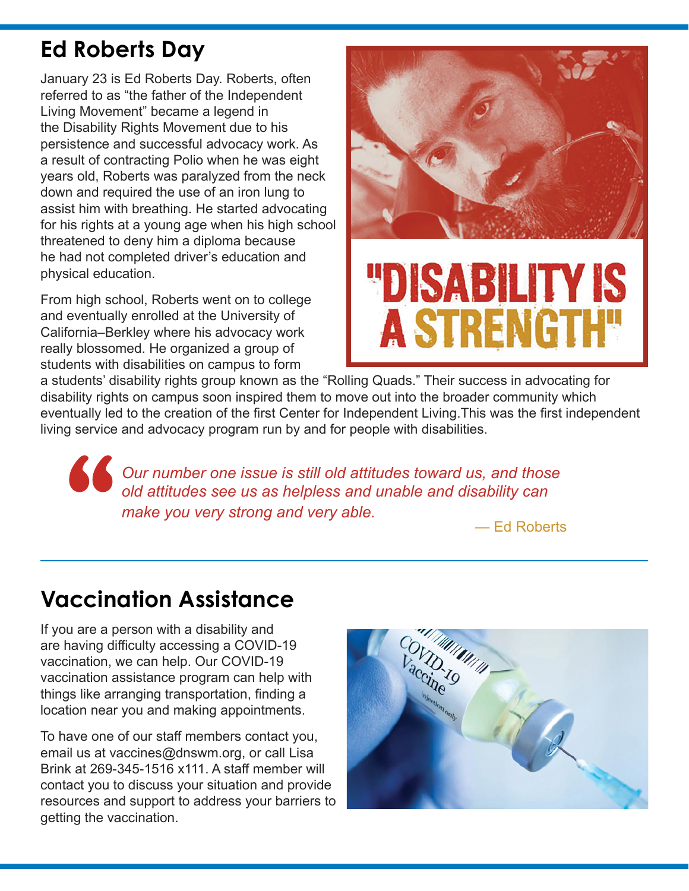# **Ed Roberts Day**

January 23 is Ed Roberts Day. Roberts, often referred to as "the father of the Independent Living Movement" became a legend in the Disability Rights Movement due to his persistence and successful advocacy work. As a result of contracting Polio when he was eight years old, Roberts was paralyzed from the neck down and required the use of an iron lung to assist him with breathing. He started advocating for his rights at a young age when his high school threatened to deny him a diploma because he had not completed driver's education and physical education.

From high school, Roberts went on to college and eventually enrolled at the University of California–Berkley where his advocacy work really blossomed. He organized a group of students with disabilities on campus to form



a students' disability rights group known as the "Rolling Quads." Their success in advocating for disability rights on campus soon inspired them to move out into the broader community which eventually led to the creation of the first Center for Independent Living.This was the first independent living service and advocacy program run by and for people with disabilities.

**Cour number one issue is still old attitudes toward us, and those** *old attitudes see us as helpless and unable and disability can make you very strong and very able.*

— Ed Roberts

# **Vaccination Assistance**

If you are a person with a disability and are having difficulty accessing a COVID-19 vaccination, we can help. Our COVID-19 vaccination assistance program can help with things like arranging transportation, finding a location near you and making appointments.

To have one of our staff members contact you, email us at vaccines@dnswm.org, or call Lisa Brink at 269-345-1516 x111. A staff member will contact you to discuss your situation and provide resources and support to address your barriers to getting the vaccination.

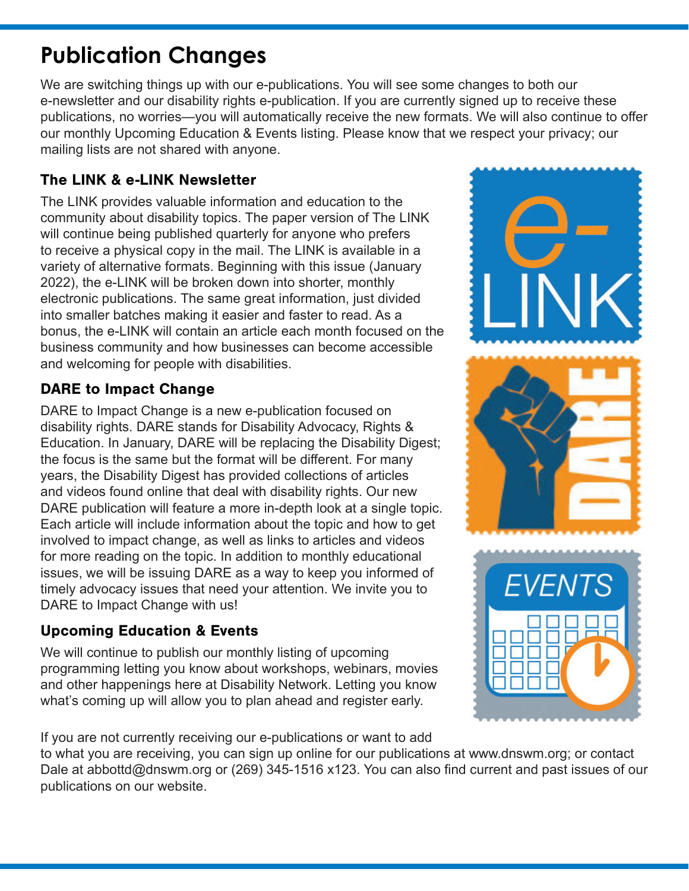# **Publication Changes**

We are switching things up with our e-publications. You will see some changes to both our e-newsletter and our disability rights e-publication. If you are currently signed up to receive these publications, no worries—you will automatically receive the new formats. We will also continue to offer our monthly Upcoming Education & Events listing. Please know that we respect your privacy; our mailing lists are not shared with anyone.

#### The LINK & e-LINK Newsletter

The LINK provides valuable information and education to the community about disability topics. The paper version of The LINK will continue being published quarterly for anyone who prefers to receive a physical copy in the mail. The LINK is available in a variety of alternative formats. Beginning with this issue (January 2022), the e-LINK will be broken down into shorter, monthly electronic publications. The same great information, just divided into smaller batches making it easier and faster to read. As a bonus, the e-LINK will contain an article each month focused on the business community and how businesses can become accessible and welcoming for people with disabilities.

#### DARE to Impact Change

DARE to Impact Change is a new e-publication focused on disability rights. DARE stands for Disability Advocacy, Rights & Education. In January, DARE will be replacing the Disability Digest; the focus is the same but the format will be different. For many years, the Disability Digest has provided collections of articles and videos found online that deal with disability rights. Our new DARE publication will feature a more in-depth look at a single topic. Each article will include information about the topic and how to get involved to impact change, as well as links to articles and videos for more reading on the topic. In addition to monthly educational issues, we will be issuing DARE as a way to keep you informed of timely advocacy issues that need your attention. We invite you to DARE to Impact Change with us!

#### Upcoming Education & Events

We will continue to publish our monthly listing of upcoming programming letting you know about workshops, webinars, movies and other happenings here at Disability Network. Letting you know what's coming up will allow you to plan ahead and register early.

If you are not currently receiving our e-publications or want to add

to what you are receiving, you can sign up online for our publications at www.dnswm.org; or contact Dale at abbottd@dnswm.org or (269) 345-1516 x123. You can also find current and past issues of our publications on our website.

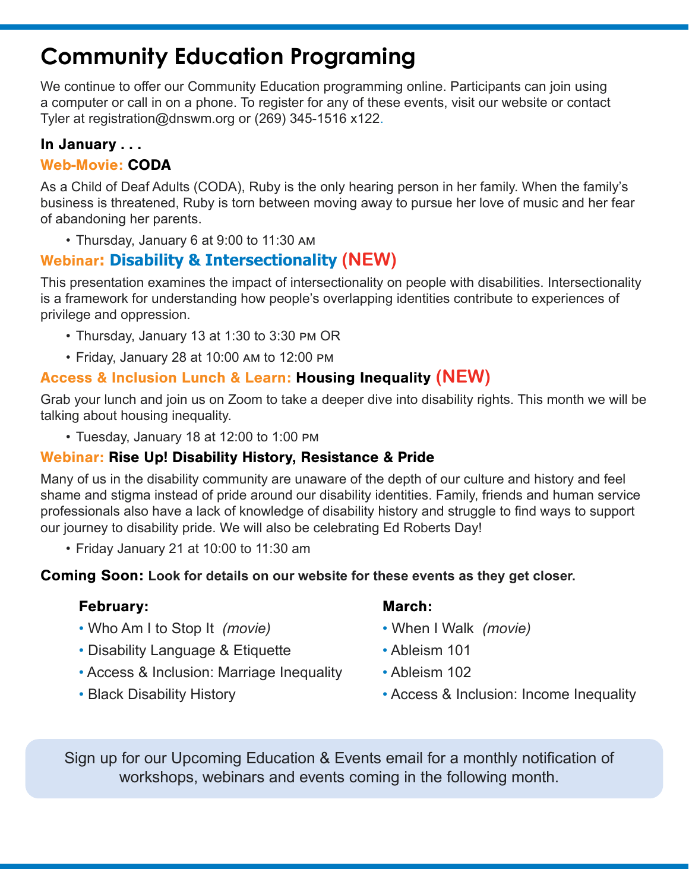# **Community Education Programing**

We continue to offer our Community Education programming online. Participants can join using a computer or call in on a phone. To register for any of these events, visit our website or contact Tyler at registration@dnswm.org or (269) 345-1516 x122.

#### In January . . .

#### Web-Movie: CODA

As a Child of Deaf Adults (CODA), Ruby is the only hearing person in her family. When the family's business is threatened, Ruby is torn between moving away to pursue her love of music and her fear of abandoning her parents.

• Thursday, January 6 at 9:00 to 11:30 am

#### Webinar**: Disability & Intersectionality (NEW)**

This presentation examines the impact of intersectionality on people with disabilities. Intersectionality is a framework for understanding how people's overlapping identities contribute to experiences of privilege and oppression.

- Thursday, January 13 at 1:30 to 3:30 pm OR
- Friday, January 28 at 10:00 am to 12:00 pm

#### Access & Inclusion Lunch & Learn: Housing Inequality **(NEW)**

Grab your lunch and join us on Zoom to take a deeper dive into disability rights. This month we will be talking about housing inequality.

• Tuesday, January 18 at 12:00 to 1:00 pm

#### Webinar: Rise Up! Disability History, Resistance & Pride

Many of us in the disability community are unaware of the depth of our culture and history and feel shame and stigma instead of pride around our disability identities. Family, friends and human service professionals also have a lack of knowledge of disability history and struggle to find ways to support our journey to disability pride. We will also be celebrating Ed Roberts Day!

• Friday January 21 at 10:00 to 11:30 am

#### Coming Soon: **Look for details on our website for these events as they get closer.**

#### February: March: March:

- Who Am I to Stop It *(movie)* When I Walk *(movie)*
- Disability Language & Etiquette Ableism 101
- Access & Inclusion: Marriage Inequality Ableism 102
- 

- 
- 
- 
- Black Disability History  **Access & Inclusion: Income Inequality**

Sign up for our Upcoming Education & Events email for a monthly notification of workshops, webinars and events coming in the following month.